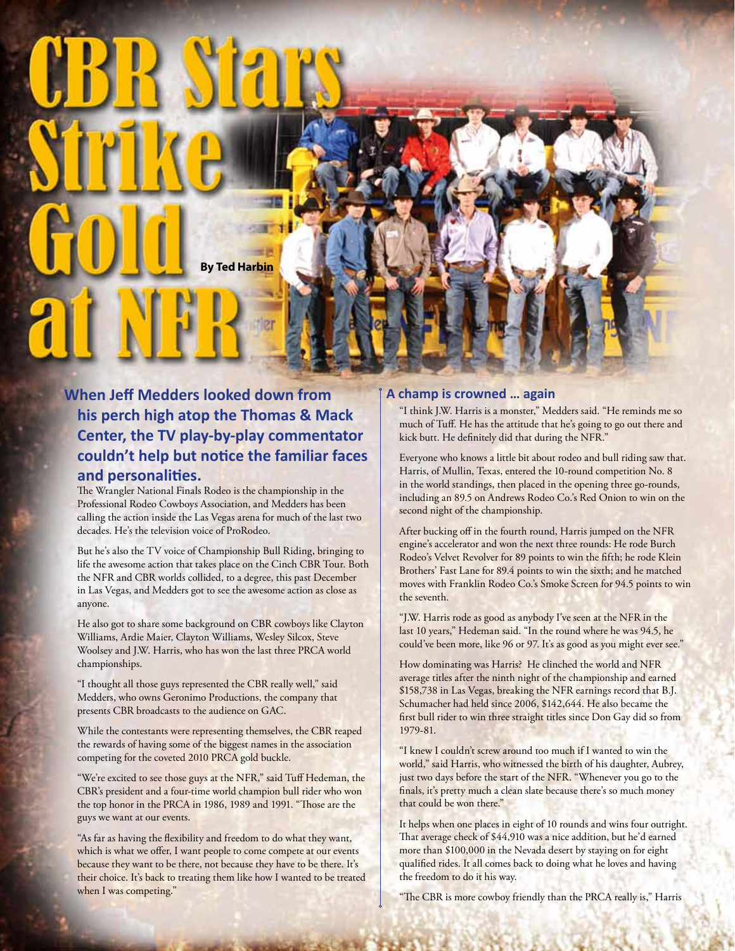

## **When Jeff Medders looked down from his perch high atop the Thomas & Mack Center, the TV play-by-play commentator couldn't help but notice the familiar faces and personalities.**

The Wrangler National Finals Rodeo is the championship in the Professional Rodeo Cowboys Association, and Medders has been calling the action inside the Las Vegas arena for much of the last two decades. He's the television voice of ProRodeo.

But he's also the TV voice of Championship Bull Riding, bringing to life the awesome action that takes place on the Cinch CBR Tour. Both the NFR and CBR worlds collided, to a degree, this past December in Las Vegas, and Medders got to see the awesome action as close as anyone.

He also got to share some background on CBR cowboys like Clayton Williams, Ardie Maier, Clayton Williams, Wesley Silcox, Steve Woolsey and J.W. Harris, who has won the last three PRCA world championships.

"I thought all those guys represented the CBR really well," said Medders, who owns Geronimo Productions, the company that presents CBR broadcasts to the audience on GAC.

While the contestants were representing themselves, the CBR reaped the rewards of having some of the biggest names in the association competing for the coveted 2010 PRCA gold buckle.

"We're excited to see those guys at the NFR," said Tuff Hedeman, the CBR's president and a four-time world champion bull rider who won the top honor in the PRCA in 1986, 1989 and 1991. "Those are the guys we want at our events.

"As far as having the flexibility and freedom to do what they want, which is what we offer, I want people to come compete at our events because they want to be there, not because they have to be there. It's their choice. It's back to treating them like how I wanted to be treated when I was competing."

## **A champ is crowned … again**

"I think J.W. Harris is a monster," Medders said. "He reminds me so much of Tuff. He has the attitude that he's going to go out there and kick butt. He definitely did that during the NFR."

Everyone who knows a little bit about rodeo and bull riding saw that. Harris, of Mullin, Texas, entered the 10-round competition No. 8 in the world standings, then placed in the opening three go-rounds, including an 89.5 on Andrews Rodeo Co.'s Red Onion to win on the second night of the championship.

After bucking off in the fourth round, Harris jumped on the NFR engine's accelerator and won the next three rounds: He rode Burch Rodeo's Velvet Revolver for 89 points to win the fifth; he rode Klein Brothers' Fast Lane for 89.4 points to win the sixth; and he matched moves with Franklin Rodeo Co.'s Smoke Screen for 94.5 points to win the seventh.

"J.W. Harris rode as good as anybody I've seen at the NFR in the last 10 years," Hedeman said. "In the round where he was 94.5, he could've been more, like 96 or 97. It's as good as you might ever see."

How dominating was Harris? He clinched the world and NFR average titles after the ninth night of the championship and earned \$158,738 in Las Vegas, breaking the NFR earnings record that B.J. Schumacher had held since 2006, \$142,644. He also became the first bull rider to win three straight titles since Don Gay did so from 1979-81.

"I knew I couldn't screw around too much if I wanted to win the world," said Harris, who witnessed the birth of his daughter, Aubrey, just two days before the start of the NFR. "Whenever you go to the finals, it's pretty much a clean slate because there's so much money that could be won there."

It helps when one places in eight of 10 rounds and wins four outright. That average check of \$44,910 was a nice addition, but he'd earned more than \$100,000 in the Nevada desert by staying on for eight qualified rides. It all comes back to doing what he loves and having the freedom to do it his way.

"The CBR is more cowboy friendly than the PRCA really is," Harris